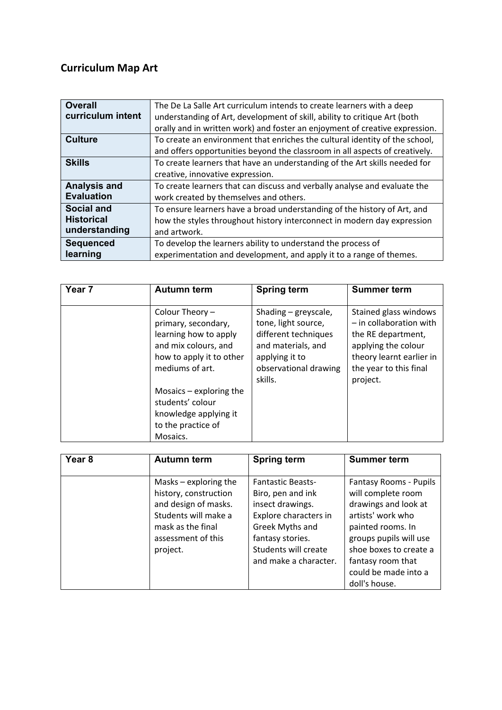## **Curriculum Map Art**

| <b>Overall</b>      | The De La Salle Art curriculum intends to create learners with a deep       |
|---------------------|-----------------------------------------------------------------------------|
| curriculum intent   | understanding of Art, development of skill, ability to critique Art (both   |
|                     | orally and in written work) and foster an enjoyment of creative expression. |
| <b>Culture</b>      | To create an environment that enriches the cultural identity of the school, |
|                     | and offers opportunities beyond the classroom in all aspects of creatively. |
| <b>Skills</b>       | To create learners that have an understanding of the Art skills needed for  |
|                     | creative, innovative expression.                                            |
| <b>Analysis and</b> | To create learners that can discuss and verbally analyse and evaluate the   |
| <b>Evaluation</b>   | work created by themselves and others.                                      |
| <b>Social and</b>   | To ensure learners have a broad understanding of the history of Art, and    |
| <b>Historical</b>   | how the styles throughout history interconnect in modern day expression     |
| understanding       | and artwork.                                                                |
| <b>Sequenced</b>    | To develop the learners ability to understand the process of                |
| learning            | experimentation and development, and apply it to a range of themes.         |

| Year 7 | <b>Autumn term</b>                                                                                                                                                                                                                                 | <b>Spring term</b>                                                                                                                              | <b>Summer term</b>                                                                                                                                                |
|--------|----------------------------------------------------------------------------------------------------------------------------------------------------------------------------------------------------------------------------------------------------|-------------------------------------------------------------------------------------------------------------------------------------------------|-------------------------------------------------------------------------------------------------------------------------------------------------------------------|
|        | Colour Theory -<br>primary, secondary,<br>learning how to apply<br>and mix colours, and<br>how to apply it to other<br>mediums of art.<br>Mosaics $-$ exploring the<br>students' colour<br>knowledge applying it<br>to the practice of<br>Mosaics. | Shading - greyscale,<br>tone, light source,<br>different techniques<br>and materials, and<br>applying it to<br>observational drawing<br>skills. | Stained glass windows<br>$-$ in collaboration with<br>the RE department,<br>applying the colour<br>theory learnt earlier in<br>the year to this final<br>project. |

| Year <sub>8</sub> | <b>Autumn term</b>                                                                                                                                      | <b>Spring term</b>                                                                                                                                                                 | <b>Summer term</b>                                                                                                                                                                                                                      |
|-------------------|---------------------------------------------------------------------------------------------------------------------------------------------------------|------------------------------------------------------------------------------------------------------------------------------------------------------------------------------------|-----------------------------------------------------------------------------------------------------------------------------------------------------------------------------------------------------------------------------------------|
|                   | Masks $-$ exploring the<br>history, construction<br>and design of masks.<br>Students will make a<br>mask as the final<br>assessment of this<br>project. | <b>Fantastic Beasts-</b><br>Biro, pen and ink<br>insect drawings.<br>Explore characters in<br>Greek Myths and<br>fantasy stories.<br>Students will create<br>and make a character. | <b>Fantasy Rooms - Pupils</b><br>will complete room<br>drawings and look at<br>artists' work who<br>painted rooms. In<br>groups pupils will use<br>shoe boxes to create a<br>fantasy room that<br>could be made into a<br>doll's house. |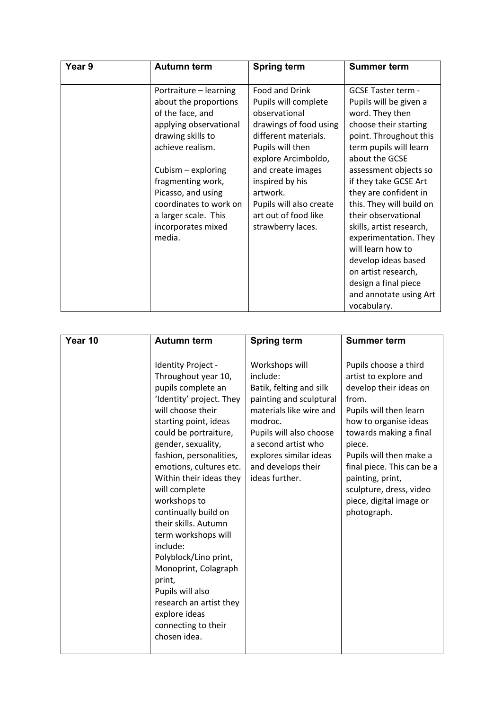| Year 9 | <b>Autumn term</b>                                                                                                                                                                                                                                                                        | <b>Spring term</b>                                                                                                                                                                                                                                                               | Summer term                                                                                                                                                                                                                                                                                                                                                                                                                                                                           |
|--------|-------------------------------------------------------------------------------------------------------------------------------------------------------------------------------------------------------------------------------------------------------------------------------------------|----------------------------------------------------------------------------------------------------------------------------------------------------------------------------------------------------------------------------------------------------------------------------------|---------------------------------------------------------------------------------------------------------------------------------------------------------------------------------------------------------------------------------------------------------------------------------------------------------------------------------------------------------------------------------------------------------------------------------------------------------------------------------------|
|        | Portraiture - learning<br>about the proportions<br>of the face, and<br>applying observational<br>drawing skills to<br>achieve realism.<br>Cubism - exploring<br>fragmenting work,<br>Picasso, and using<br>coordinates to work on<br>a larger scale. This<br>incorporates mixed<br>media. | Food and Drink<br>Pupils will complete<br>observational<br>drawings of food using<br>different materials.<br>Pupils will then<br>explore Arcimboldo,<br>and create images<br>inspired by his<br>artwork.<br>Pupils will also create<br>art out of food like<br>strawberry laces. | GCSE Taster term -<br>Pupils will be given a<br>word. They then<br>choose their starting<br>point. Throughout this<br>term pupils will learn<br>about the GCSE<br>assessment objects so<br>if they take GCSE Art<br>they are confident in<br>this. They will build on<br>their observational<br>skills, artist research,<br>experimentation. They<br>will learn how to<br>develop ideas based<br>on artist research,<br>design a final piece<br>and annotate using Art<br>vocabulary. |

| Year 10 | <b>Autumn term</b>                                                                                                                                                                                                                                                                                                                                                                                                                                                                                                                                              | <b>Spring term</b>                                                                                                                                                                                                                         | <b>Summer term</b>                                                                                                                                                                                                                                                                                                         |
|---------|-----------------------------------------------------------------------------------------------------------------------------------------------------------------------------------------------------------------------------------------------------------------------------------------------------------------------------------------------------------------------------------------------------------------------------------------------------------------------------------------------------------------------------------------------------------------|--------------------------------------------------------------------------------------------------------------------------------------------------------------------------------------------------------------------------------------------|----------------------------------------------------------------------------------------------------------------------------------------------------------------------------------------------------------------------------------------------------------------------------------------------------------------------------|
|         | Identity Project -<br>Throughout year 10,<br>pupils complete an<br>'Identity' project. They<br>will choose their<br>starting point, ideas<br>could be portraiture,<br>gender, sexuality,<br>fashion, personalities,<br>emotions, cultures etc.<br>Within their ideas they<br>will complete<br>workshops to<br>continually build on<br>their skills. Autumn<br>term workshops will<br>include:<br>Polyblock/Lino print,<br>Monoprint, Colagraph<br>print,<br>Pupils will also<br>research an artist they<br>explore ideas<br>connecting to their<br>chosen idea. | Workshops will<br>include:<br>Batik, felting and silk<br>painting and sculptural<br>materials like wire and<br>modroc.<br>Pupils will also choose<br>a second artist who<br>explores similar ideas<br>and develops their<br>ideas further. | Pupils choose a third<br>artist to explore and<br>develop their ideas on<br>from.<br>Pupils will then learn<br>how to organise ideas<br>towards making a final<br>piece.<br>Pupils will then make a<br>final piece. This can be a<br>painting, print,<br>sculpture, dress, video<br>piece, digital image or<br>photograph. |